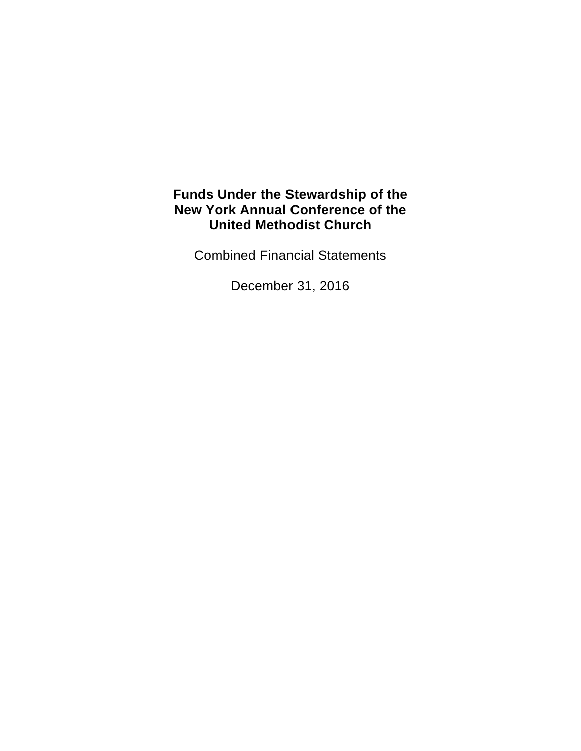Combined Financial Statements

December 31, 2016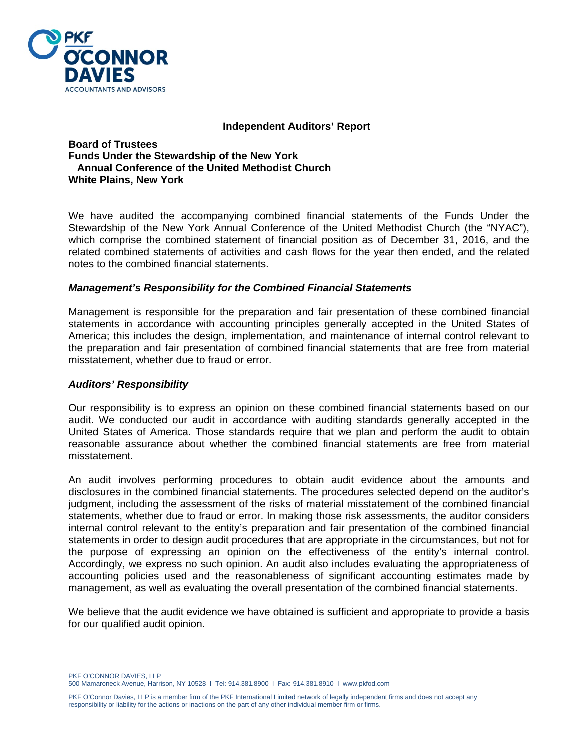

#### **Independent Auditors' Report**

**Board of Trustees Funds Under the Stewardship of the New York Annual Conference of the United Methodist Church White Plains, New York** 

We have audited the accompanying combined financial statements of the Funds Under the Stewardship of the New York Annual Conference of the United Methodist Church (the "NYAC"), which comprise the combined statement of financial position as of December 31, 2016, and the related combined statements of activities and cash flows for the year then ended, and the related notes to the combined financial statements.

#### *Management's Responsibility for the Combined Financial Statements*

Management is responsible for the preparation and fair presentation of these combined financial statements in accordance with accounting principles generally accepted in the United States of America; this includes the design, implementation, and maintenance of internal control relevant to the preparation and fair presentation of combined financial statements that are free from material misstatement, whether due to fraud or error.

#### *Auditors' Responsibility*

Our responsibility is to express an opinion on these combined financial statements based on our audit. We conducted our audit in accordance with auditing standards generally accepted in the United States of America. Those standards require that we plan and perform the audit to obtain reasonable assurance about whether the combined financial statements are free from material misstatement.

An audit involves performing procedures to obtain audit evidence about the amounts and disclosures in the combined financial statements. The procedures selected depend on the auditor's judgment, including the assessment of the risks of material misstatement of the combined financial statements, whether due to fraud or error. In making those risk assessments, the auditor considers internal control relevant to the entity's preparation and fair presentation of the combined financial statements in order to design audit procedures that are appropriate in the circumstances, but not for the purpose of expressing an opinion on the effectiveness of the entity's internal control. Accordingly, we express no such opinion. An audit also includes evaluating the appropriateness of accounting policies used and the reasonableness of significant accounting estimates made by management, as well as evaluating the overall presentation of the combined financial statements.

We believe that the audit evidence we have obtained is sufficient and appropriate to provide a basis for our qualified audit opinion.

PKF O'CONNOR DAVIES, LLP 500 Mamaroneck Avenue, Harrison, NY 10528 I Tel: 914.381.8900 I Fax: 914.381.8910 I www.pkfod.com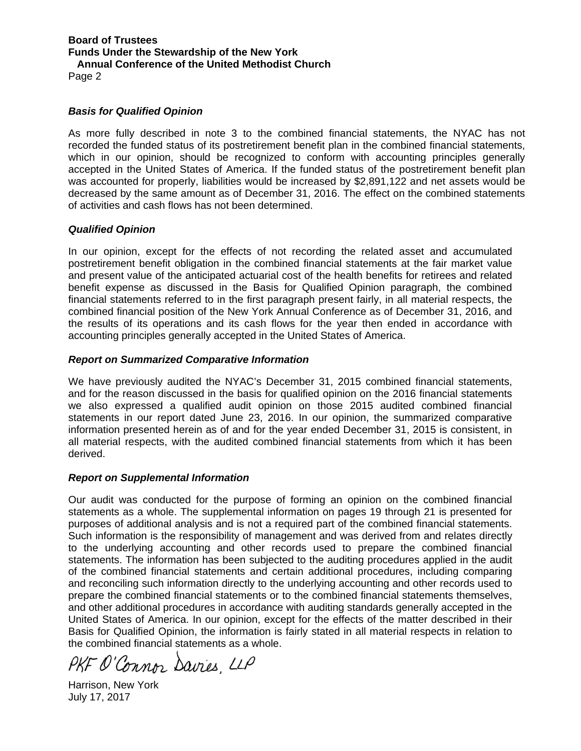Page 2

# *Basis for Qualified Opinion*

As more fully described in note 3 to the combined financial statements, the NYAC has not recorded the funded status of its postretirement benefit plan in the combined financial statements, which in our opinion, should be recognized to conform with accounting principles generally accepted in the United States of America. If the funded status of the postretirement benefit plan was accounted for properly, liabilities would be increased by \$2,891,122 and net assets would be decreased by the same amount as of December 31, 2016. The effect on the combined statements of activities and cash flows has not been determined.

# *Qualified Opinion*

In our opinion, except for the effects of not recording the related asset and accumulated postretirement benefit obligation in the combined financial statements at the fair market value and present value of the anticipated actuarial cost of the health benefits for retirees and related benefit expense as discussed in the Basis for Qualified Opinion paragraph, the combined financial statements referred to in the first paragraph present fairly, in all material respects, the combined financial position of the New York Annual Conference as of December 31, 2016, and the results of its operations and its cash flows for the year then ended in accordance with accounting principles generally accepted in the United States of America.

# *Report on Summarized Comparative Information*

We have previously audited the NYAC's December 31, 2015 combined financial statements, and for the reason discussed in the basis for qualified opinion on the 2016 financial statements we also expressed a qualified audit opinion on those 2015 audited combined financial statements in our report dated June 23, 2016. In our opinion, the summarized comparative information presented herein as of and for the year ended December 31, 2015 is consistent, in all material respects, with the audited combined financial statements from which it has been derived.

#### *Report on Supplemental Information*

Our audit was conducted for the purpose of forming an opinion on the combined financial statements as a whole. The supplemental information on pages 19 through 21 is presented for purposes of additional analysis and is not a required part of the combined financial statements. Such information is the responsibility of management and was derived from and relates directly to the underlying accounting and other records used to prepare the combined financial statements. The information has been subjected to the auditing procedures applied in the audit of the combined financial statements and certain additional procedures, including comparing and reconciling such information directly to the underlying accounting and other records used to prepare the combined financial statements or to the combined financial statements themselves, and other additional procedures in accordance with auditing standards generally accepted in the United States of America. In our opinion, except for the effects of the matter described in their Basis for Qualified Opinion, the information is fairly stated in all material respects in relation to the combined financial statements as a whole.

PKF O'Connor Davies, LLP

Harrison, New York July 17, 2017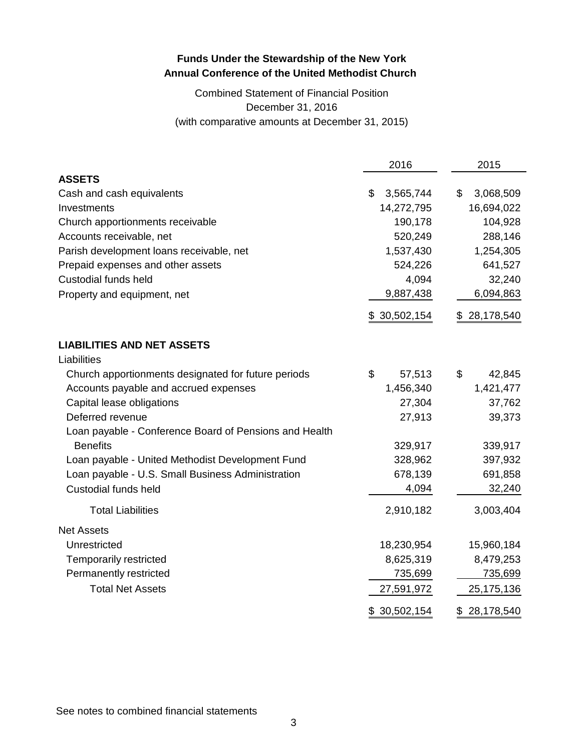# Combined Statement of Financial Position December 31, 2016 (with comparative amounts at December 31, 2015)

|                                                        | 2016            | 2015             |
|--------------------------------------------------------|-----------------|------------------|
| <b>ASSETS</b>                                          |                 |                  |
| Cash and cash equivalents                              | \$<br>3,565,744 | \$<br>3,068,509  |
| Investments                                            | 14,272,795      | 16,694,022       |
| Church apportionments receivable                       | 190,178         | 104,928          |
| Accounts receivable, net                               | 520,249         | 288,146          |
| Parish development loans receivable, net               | 1,537,430       | 1,254,305        |
| Prepaid expenses and other assets                      | 524,226         | 641,527          |
| Custodial funds held                                   | 4,094           | 32,240           |
| Property and equipment, net                            | 9,887,438       | 6,094,863        |
|                                                        | \$30,502,154    | 28,178,540<br>\$ |
| <b>LIABILITIES AND NET ASSETS</b>                      |                 |                  |
| Liabilities                                            |                 |                  |
| Church apportionments designated for future periods    | \$<br>57,513    | \$<br>42,845     |
| Accounts payable and accrued expenses                  | 1,456,340       | 1,421,477        |
| Capital lease obligations                              | 27,304          | 37,762           |
| Deferred revenue                                       | 27,913          | 39,373           |
| Loan payable - Conference Board of Pensions and Health |                 |                  |
| <b>Benefits</b>                                        | 329,917         | 339,917          |
| Loan payable - United Methodist Development Fund       | 328,962         | 397,932          |
| Loan payable - U.S. Small Business Administration      | 678,139         | 691,858          |
| <b>Custodial funds held</b>                            | 4,094           | 32,240           |
| <b>Total Liabilities</b>                               | 2,910,182       | 3,003,404        |
| <b>Net Assets</b>                                      |                 |                  |
| Unrestricted                                           | 18,230,954      | 15,960,184       |
| Temporarily restricted                                 | 8,625,319       | 8,479,253        |
| Permanently restricted                                 | 735,699         | 735,699          |
| <b>Total Net Assets</b>                                | 27,591,972      | 25,175,136       |
|                                                        | \$30,502,154    | \$28,178,540     |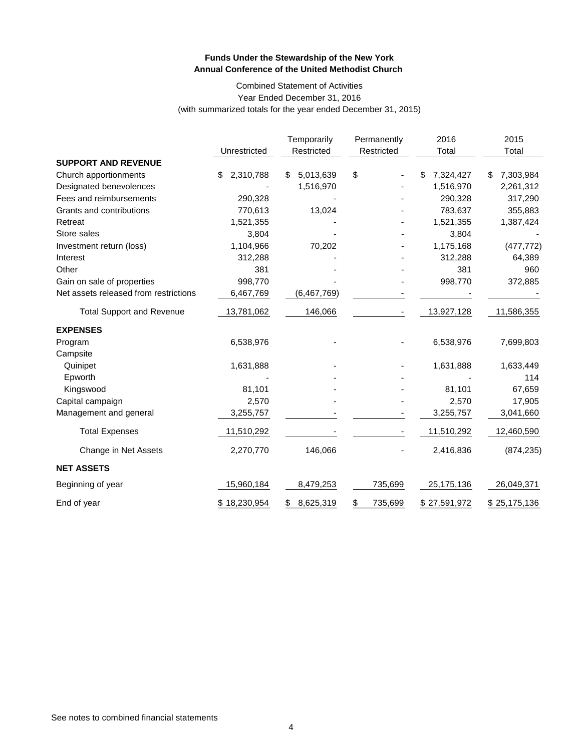#### Combined Statement of Activities Year Ended December 31, 2016 (with summarized totals for the year ended December 31, 2015)

|                                       | Unrestricted    | Temporarily<br>Restricted | Permanently<br>Restricted | 2016<br>Total   | 2015<br>Total  |
|---------------------------------------|-----------------|---------------------------|---------------------------|-----------------|----------------|
| <b>SUPPORT AND REVENUE</b>            |                 |                           |                           |                 |                |
| Church apportionments                 | 2,310,788<br>\$ | 5,013,639<br>S            | \$                        | 7,324,427<br>\$ | 7,303,984<br>S |
| Designated benevolences               |                 | 1,516,970                 |                           | 1,516,970       | 2,261,312      |
| Fees and reimbursements               | 290,328         |                           |                           | 290,328         | 317,290        |
| Grants and contributions              | 770,613         | 13,024                    |                           | 783,637         | 355,883        |
| Retreat                               | 1,521,355       |                           |                           | 1,521,355       | 1,387,424      |
| Store sales                           | 3,804           |                           |                           | 3,804           |                |
| Investment return (loss)              | 1,104,966       | 70,202                    |                           | 1,175,168       | (477, 772)     |
| Interest                              | 312,288         |                           |                           | 312,288         | 64,389         |
| Other                                 | 381             |                           |                           | 381             | 960            |
| Gain on sale of properties            | 998,770         |                           |                           | 998,770         | 372,885        |
| Net assets released from restrictions | 6,467,769       | (6, 467, 769)             |                           |                 |                |
| <b>Total Support and Revenue</b>      | 13,781,062      | 146,066                   |                           | 13,927,128      | 11,586,355     |
| <b>EXPENSES</b>                       |                 |                           |                           |                 |                |
| Program                               | 6,538,976       |                           |                           | 6,538,976       | 7,699,803      |
| Campsite                              |                 |                           |                           |                 |                |
| Quinipet                              | 1,631,888       |                           |                           | 1,631,888       | 1,633,449      |
| Epworth                               |                 |                           |                           |                 | 114            |
| Kingswood                             | 81,101          |                           |                           | 81,101          | 67,659         |
| Capital campaign                      | 2,570           |                           |                           | 2,570           | 17,905         |
| Management and general                | 3,255,757       |                           |                           | 3,255,757       | 3,041,660      |
| <b>Total Expenses</b>                 | 11,510,292      |                           |                           | 11,510,292      | 12,460,590     |
| Change in Net Assets                  | 2,270,770       | 146,066                   |                           | 2,416,836       | (874, 235)     |
| <b>NET ASSETS</b>                     |                 |                           |                           |                 |                |
| Beginning of year                     | 15,960,184      | 8,479,253                 | 735,699                   | 25,175,136      | 26,049,371     |
| End of year                           | \$18,230,954    | 8,625,319<br>\$           | \$<br>735,699             | \$27,591,972    | \$25,175,136   |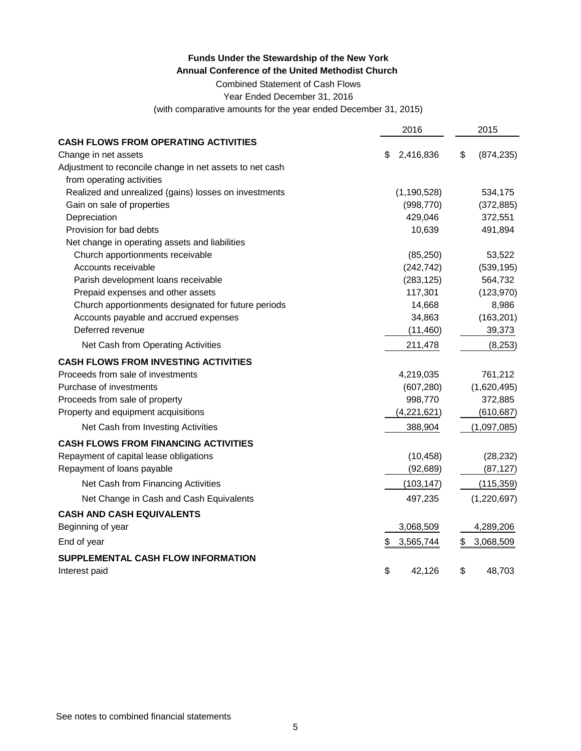Combined Statement of Cash Flows

Year Ended December 31, 2016

(with comparative amounts for the year ended December 31, 2015)

|                                                          | 2016            | 2015             |
|----------------------------------------------------------|-----------------|------------------|
| <b>CASH FLOWS FROM OPERATING ACTIVITIES</b>              |                 |                  |
| Change in net assets                                     | 2,416,836<br>S  | \$<br>(874, 235) |
| Adjustment to reconcile change in net assets to net cash |                 |                  |
| from operating activities                                |                 |                  |
| Realized and unrealized (gains) losses on investments    | (1, 190, 528)   | 534,175          |
| Gain on sale of properties                               | (998, 770)      | (372, 885)       |
| Depreciation                                             | 429,046         | 372,551          |
| Provision for bad debts                                  | 10,639          | 491,894          |
| Net change in operating assets and liabilities           |                 |                  |
| Church apportionments receivable                         | (85, 250)       | 53,522           |
| Accounts receivable                                      | (242, 742)      | (539, 195)       |
| Parish development loans receivable                      | (283, 125)      | 564,732          |
| Prepaid expenses and other assets                        | 117,301         | (123, 970)       |
| Church apportionments designated for future periods      | 14,668          | 8,986            |
| Accounts payable and accrued expenses                    | 34,863          | (163, 201)       |
| Deferred revenue                                         | (11, 460)       | 39,373           |
| Net Cash from Operating Activities                       | 211,478         | (8, 253)         |
| <b>CASH FLOWS FROM INVESTING ACTIVITIES</b>              |                 |                  |
| Proceeds from sale of investments                        | 4,219,035       | 761,212          |
| Purchase of investments                                  | (607, 280)      | (1,620,495)      |
| Proceeds from sale of property                           | 998,770         | 372,885          |
| Property and equipment acquisitions                      | (4,221,621)     | (610, 687)       |
| Net Cash from Investing Activities                       | 388,904         | (1,097,085)      |
| <b>CASH FLOWS FROM FINANCING ACTIVITIES</b>              |                 |                  |
| Repayment of capital lease obligations                   | (10, 458)       | (28, 232)        |
| Repayment of loans payable                               | (92, 689)       | (87, 127)        |
| Net Cash from Financing Activities                       | (103, 147)      | (115, 359)       |
| Net Change in Cash and Cash Equivalents                  | 497,235         | (1,220,697)      |
| <b>CASH AND CASH EQUIVALENTS</b>                         |                 |                  |
| Beginning of year                                        | 3,068,509       | 4,289,206        |
| End of year                                              | 3,565,744<br>\$ | 3,068,509<br>\$  |
| SUPPLEMENTAL CASH FLOW INFORMATION                       |                 |                  |
| Interest paid                                            | \$<br>42.126    | \$<br>48,703     |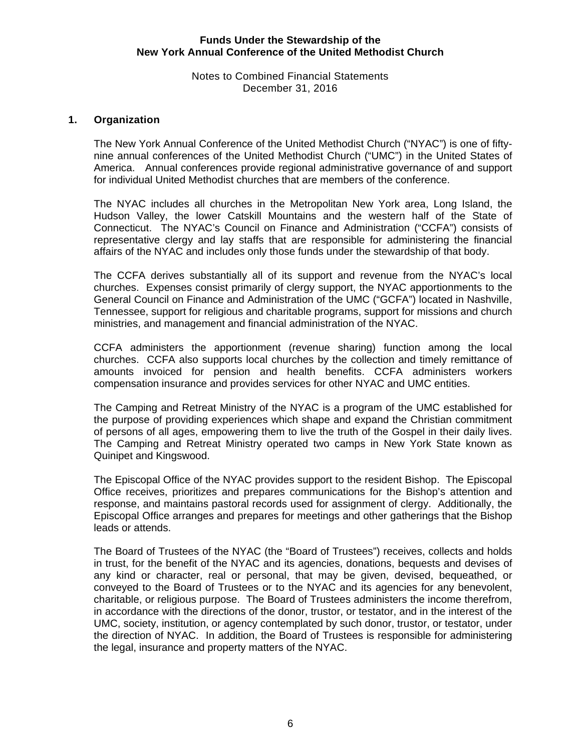# Notes to Combined Financial Statements December 31, 2016

# **1. Organization**

The New York Annual Conference of the United Methodist Church ("NYAC") is one of fiftynine annual conferences of the United Methodist Church ("UMC") in the United States of America. Annual conferences provide regional administrative governance of and support for individual United Methodist churches that are members of the conference.

The NYAC includes all churches in the Metropolitan New York area, Long Island, the Hudson Valley, the lower Catskill Mountains and the western half of the State of Connecticut. The NYAC's Council on Finance and Administration ("CCFA") consists of representative clergy and lay staffs that are responsible for administering the financial affairs of the NYAC and includes only those funds under the stewardship of that body.

The CCFA derives substantially all of its support and revenue from the NYAC's local churches. Expenses consist primarily of clergy support, the NYAC apportionments to the General Council on Finance and Administration of the UMC ("GCFA") located in Nashville, Tennessee, support for religious and charitable programs, support for missions and church ministries, and management and financial administration of the NYAC.

CCFA administers the apportionment (revenue sharing) function among the local churches. CCFA also supports local churches by the collection and timely remittance of amounts invoiced for pension and health benefits. CCFA administers workers compensation insurance and provides services for other NYAC and UMC entities.

The Camping and Retreat Ministry of the NYAC is a program of the UMC established for the purpose of providing experiences which shape and expand the Christian commitment of persons of all ages, empowering them to live the truth of the Gospel in their daily lives. The Camping and Retreat Ministry operated two camps in New York State known as Quinipet and Kingswood.

The Episcopal Office of the NYAC provides support to the resident Bishop. The Episcopal Office receives, prioritizes and prepares communications for the Bishop's attention and response, and maintains pastoral records used for assignment of clergy. Additionally, the Episcopal Office arranges and prepares for meetings and other gatherings that the Bishop leads or attends.

The Board of Trustees of the NYAC (the "Board of Trustees") receives, collects and holds in trust, for the benefit of the NYAC and its agencies, donations, bequests and devises of any kind or character, real or personal, that may be given, devised, bequeathed, or conveyed to the Board of Trustees or to the NYAC and its agencies for any benevolent, charitable, or religious purpose. The Board of Trustees administers the income therefrom, in accordance with the directions of the donor, trustor, or testator, and in the interest of the UMC, society, institution, or agency contemplated by such donor, trustor, or testator, under the direction of NYAC. In addition, the Board of Trustees is responsible for administering the legal, insurance and property matters of the NYAC.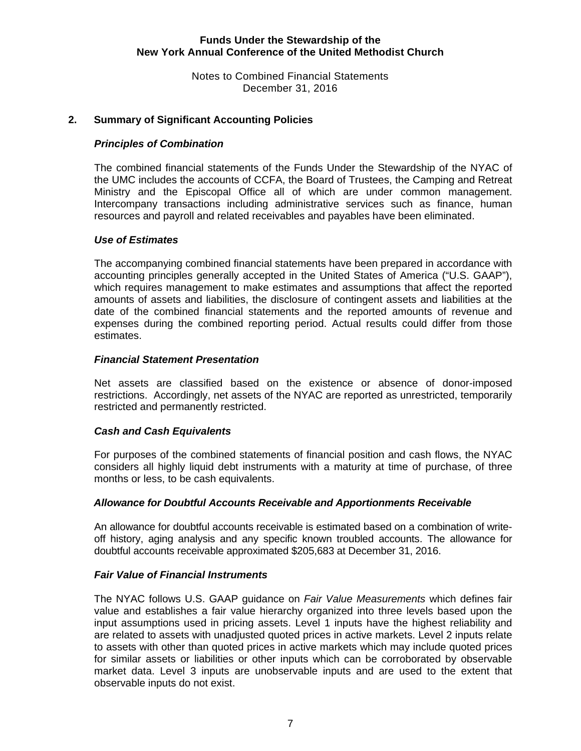Notes to Combined Financial Statements December 31, 2016

# **2. Summary of Significant Accounting Policies**

# *Principles of Combination*

The combined financial statements of the Funds Under the Stewardship of the NYAC of the UMC includes the accounts of CCFA, the Board of Trustees, the Camping and Retreat Ministry and the Episcopal Office all of which are under common management. Intercompany transactions including administrative services such as finance, human resources and payroll and related receivables and payables have been eliminated.

# *Use of Estimates*

The accompanying combined financial statements have been prepared in accordance with accounting principles generally accepted in the United States of America ("U.S. GAAP"), which requires management to make estimates and assumptions that affect the reported amounts of assets and liabilities, the disclosure of contingent assets and liabilities at the date of the combined financial statements and the reported amounts of revenue and expenses during the combined reporting period. Actual results could differ from those estimates.

### *Financial Statement Presentation*

Net assets are classified based on the existence or absence of donor-imposed restrictions. Accordingly, net assets of the NYAC are reported as unrestricted, temporarily restricted and permanently restricted.

# *Cash and Cash Equivalents*

For purposes of the combined statements of financial position and cash flows, the NYAC considers all highly liquid debt instruments with a maturity at time of purchase, of three months or less, to be cash equivalents.

#### *Allowance for Doubtful Accounts Receivable and Apportionments Receivable*

An allowance for doubtful accounts receivable is estimated based on a combination of writeoff history, aging analysis and any specific known troubled accounts. The allowance for doubtful accounts receivable approximated \$205,683 at December 31, 2016.

#### *Fair Value of Financial Instruments*

 The NYAC follows U.S. GAAP guidance on *Fair Value Measurements* which defines fair value and establishes a fair value hierarchy organized into three levels based upon the input assumptions used in pricing assets. Level 1 inputs have the highest reliability and are related to assets with unadjusted quoted prices in active markets. Level 2 inputs relate to assets with other than quoted prices in active markets which may include quoted prices for similar assets or liabilities or other inputs which can be corroborated by observable market data. Level 3 inputs are unobservable inputs and are used to the extent that observable inputs do not exist.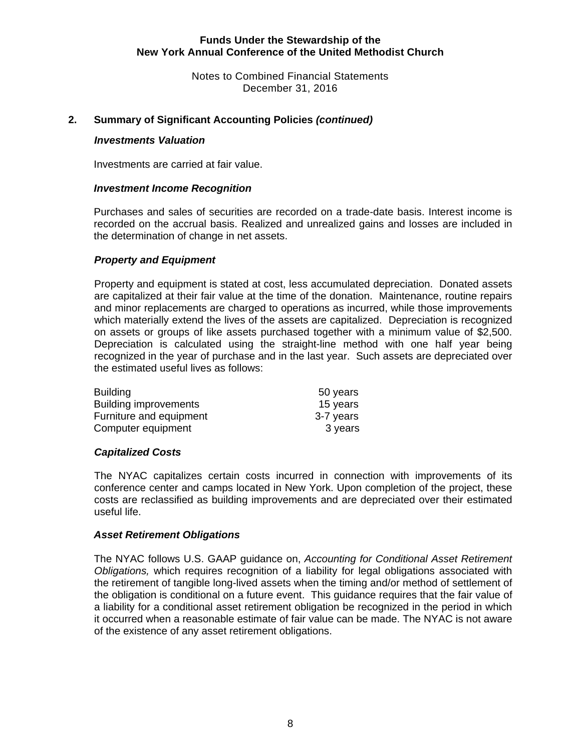Notes to Combined Financial Statements December 31, 2016

# **2. Summary of Significant Accounting Policies** *(continued)*

# *Investments Valuation*

Investments are carried at fair value.

## *Investment Income Recognition*

Purchases and sales of securities are recorded on a trade-date basis. Interest income is recorded on the accrual basis. Realized and unrealized gains and losses are included in the determination of change in net assets.

# *Property and Equipment*

Property and equipment is stated at cost, less accumulated depreciation. Donated assets are capitalized at their fair value at the time of the donation. Maintenance, routine repairs and minor replacements are charged to operations as incurred, while those improvements which materially extend the lives of the assets are capitalized. Depreciation is recognized on assets or groups of like assets purchased together with a minimum value of \$2,500. Depreciation is calculated using the straight-line method with one half year being recognized in the year of purchase and in the last year. Such assets are depreciated over the estimated useful lives as follows:

| <b>Building</b>              | 50 years  |
|------------------------------|-----------|
| <b>Building improvements</b> | 15 years  |
| Furniture and equipment      | 3-7 years |
| Computer equipment           | 3 years   |

#### *Capitalized Costs*

The NYAC capitalizes certain costs incurred in connection with improvements of its conference center and camps located in New York. Upon completion of the project, these costs are reclassified as building improvements and are depreciated over their estimated useful life.

#### *Asset Retirement Obligations*

 The NYAC follows U.S. GAAP guidance on, *Accounting for Conditional Asset Retirement Obligations,* which requires recognition of a liability for legal obligations associated with the retirement of tangible long-lived assets when the timing and/or method of settlement of the obligation is conditional on a future event. This guidance requires that the fair value of a liability for a conditional asset retirement obligation be recognized in the period in which it occurred when a reasonable estimate of fair value can be made. The NYAC is not aware of the existence of any asset retirement obligations.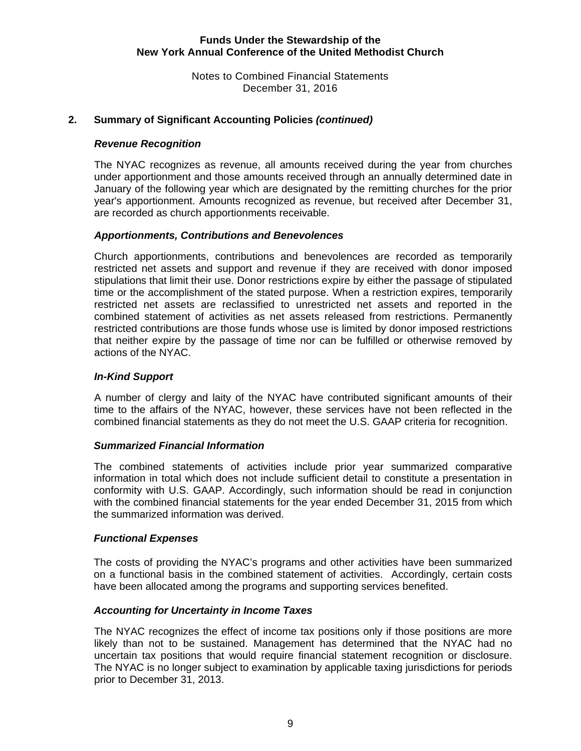Notes to Combined Financial Statements December 31, 2016

# **2. Summary of Significant Accounting Policies** *(continued)*

# *Revenue Recognition*

The NYAC recognizes as revenue, all amounts received during the year from churches under apportionment and those amounts received through an annually determined date in January of the following year which are designated by the remitting churches for the prior year's apportionment. Amounts recognized as revenue, but received after December 31, are recorded as church apportionments receivable.

# *Apportionments, Contributions and Benevolences*

Church apportionments, contributions and benevolences are recorded as temporarily restricted net assets and support and revenue if they are received with donor imposed stipulations that limit their use. Donor restrictions expire by either the passage of stipulated time or the accomplishment of the stated purpose. When a restriction expires, temporarily restricted net assets are reclassified to unrestricted net assets and reported in the combined statement of activities as net assets released from restrictions. Permanently restricted contributions are those funds whose use is limited by donor imposed restrictions that neither expire by the passage of time nor can be fulfilled or otherwise removed by actions of the NYAC.

# *In-Kind Support*

A number of clergy and laity of the NYAC have contributed significant amounts of their time to the affairs of the NYAC, however, these services have not been reflected in the combined financial statements as they do not meet the U.S. GAAP criteria for recognition.

#### *Summarized Financial Information*

The combined statements of activities include prior year summarized comparative information in total which does not include sufficient detail to constitute a presentation in conformity with U.S. GAAP. Accordingly, such information should be read in conjunction with the combined financial statements for the year ended December 31, 2015 from which the summarized information was derived.

#### *Functional Expenses*

The costs of providing the NYAC's programs and other activities have been summarized on a functional basis in the combined statement of activities. Accordingly, certain costs have been allocated among the programs and supporting services benefited.

# *Accounting for Uncertainty in Income Taxes*

The NYAC recognizes the effect of income tax positions only if those positions are more likely than not to be sustained. Management has determined that the NYAC had no uncertain tax positions that would require financial statement recognition or disclosure. The NYAC is no longer subject to examination by applicable taxing jurisdictions for periods prior to December 31, 2013.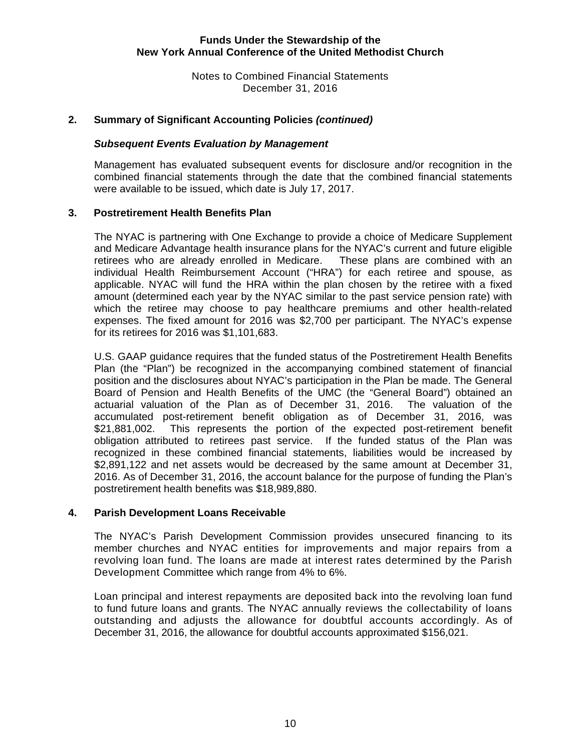Notes to Combined Financial Statements December 31, 2016

# **2. Summary of Significant Accounting Policies** *(continued)*

#### *Subsequent Events Evaluation by Management*

Management has evaluated subsequent events for disclosure and/or recognition in the combined financial statements through the date that the combined financial statements were available to be issued, which date is July 17, 2017.

#### **3. Postretirement Health Benefits Plan**

The NYAC is partnering with One Exchange to provide a choice of Medicare Supplement and Medicare Advantage health insurance plans for the NYAC's current and future eligible retirees who are already enrolled in Medicare. These plans are combined with an individual Health Reimbursement Account ("HRA") for each retiree and spouse, as applicable. NYAC will fund the HRA within the plan chosen by the retiree with a fixed amount (determined each year by the NYAC similar to the past service pension rate) with which the retiree may choose to pay healthcare premiums and other health-related expenses. The fixed amount for 2016 was \$2,700 per participant. The NYAC's expense for its retirees for 2016 was \$1,101,683.

U.S. GAAP guidance requires that the funded status of the Postretirement Health Benefits Plan (the "Plan") be recognized in the accompanying combined statement of financial position and the disclosures about NYAC's participation in the Plan be made. The General Board of Pension and Health Benefits of the UMC (the "General Board") obtained an actuarial valuation of the Plan as of December 31, 2016. The valuation of the accumulated post-retirement benefit obligation as of December 31, 2016, was \$21,881,002. This represents the portion of the expected post-retirement benefit obligation attributed to retirees past service. If the funded status of the Plan was recognized in these combined financial statements, liabilities would be increased by \$2,891,122 and net assets would be decreased by the same amount at December 31, 2016. As of December 31, 2016, the account balance for the purpose of funding the Plan's postretirement health benefits was \$18,989,880.

#### **4. Parish Development Loans Receivable**

The NYAC's Parish Development Commission provides unsecured financing to its member churches and NYAC entities for improvements and major repairs from a revolving loan fund. The loans are made at interest rates determined by the Parish Development Committee which range from 4% to 6%.

Loan principal and interest repayments are deposited back into the revolving loan fund to fund future loans and grants. The NYAC annually reviews the collectability of loans outstanding and adjusts the allowance for doubtful accounts accordingly. As of December 31, 2016, the allowance for doubtful accounts approximated \$156,021.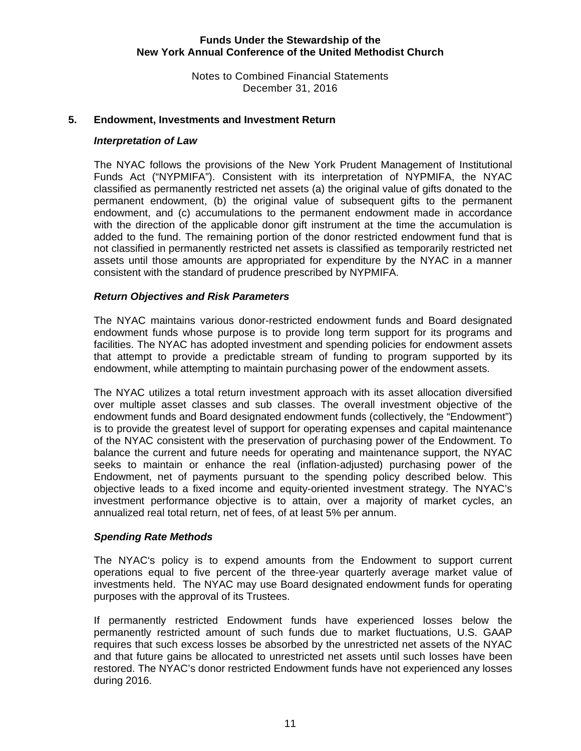Notes to Combined Financial Statements December 31, 2016

# **5. Endowment, Investments and Investment Return**

#### *Interpretation of Law*

 The NYAC follows the provisions of the New York Prudent Management of Institutional Funds Act ("NYPMIFA"). Consistent with its interpretation of NYPMIFA, the NYAC classified as permanently restricted net assets (a) the original value of gifts donated to the permanent endowment, (b) the original value of subsequent gifts to the permanent endowment, and (c) accumulations to the permanent endowment made in accordance with the direction of the applicable donor gift instrument at the time the accumulation is added to the fund. The remaining portion of the donor restricted endowment fund that is not classified in permanently restricted net assets is classified as temporarily restricted net assets until those amounts are appropriated for expenditure by the NYAC in a manner consistent with the standard of prudence prescribed by NYPMIFA.

# *Return Objectives and Risk Parameters*

The NYAC maintains various donor-restricted endowment funds and Board designated endowment funds whose purpose is to provide long term support for its programs and facilities. The NYAC has adopted investment and spending policies for endowment assets that attempt to provide a predictable stream of funding to program supported by its endowment, while attempting to maintain purchasing power of the endowment assets.

The NYAC utilizes a total return investment approach with its asset allocation diversified over multiple asset classes and sub classes. The overall investment objective of the endowment funds and Board designated endowment funds (collectively, the "Endowment") is to provide the greatest level of support for operating expenses and capital maintenance of the NYAC consistent with the preservation of purchasing power of the Endowment. To balance the current and future needs for operating and maintenance support, the NYAC seeks to maintain or enhance the real (inflation-adjusted) purchasing power of the Endowment, net of payments pursuant to the spending policy described below. This objective leads to a fixed income and equity-oriented investment strategy. The NYAC's investment performance objective is to attain, over a majority of market cycles, an annualized real total return, net of fees, of at least 5% per annum.

# *Spending Rate Methods*

The NYAC's policy is to expend amounts from the Endowment to support current operations equal to five percent of the three-year quarterly average market value of investments held. The NYAC may use Board designated endowment funds for operating purposes with the approval of its Trustees.

If permanently restricted Endowment funds have experienced losses below the permanently restricted amount of such funds due to market fluctuations, U.S. GAAP requires that such excess losses be absorbed by the unrestricted net assets of the NYAC and that future gains be allocated to unrestricted net assets until such losses have been restored. The NYAC's donor restricted Endowment funds have not experienced any losses during 2016.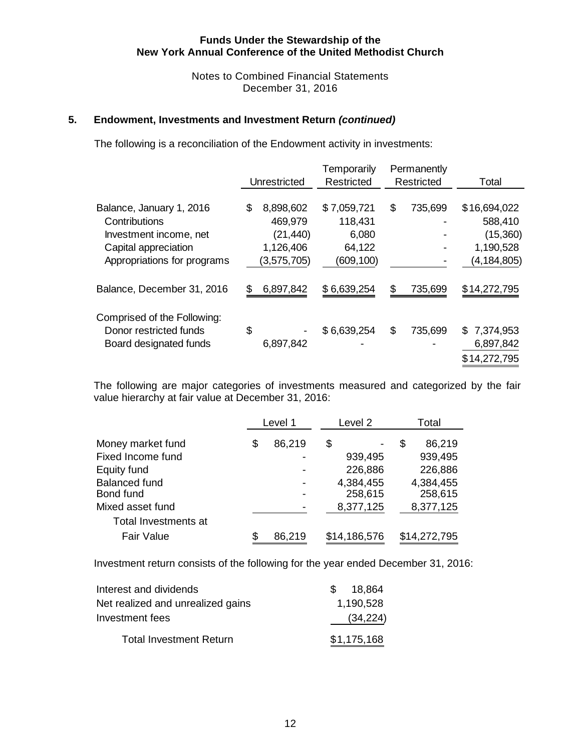Notes to Combined Financial Statements December 31, 2016

# **5. Endowment, Investments and Investment Return** *(continued)*

The following is a reconciliation of the Endowment activity in investments:

|                                                       |    | Unrestricted | Temporarily<br>Restricted | Permanently<br>Restricted | Total           |
|-------------------------------------------------------|----|--------------|---------------------------|---------------------------|-----------------|
| Balance, January 1, 2016                              | \$ | 8,898,602    | \$7,059,721               | \$<br>735,699             | \$16,694,022    |
| Contributions                                         |    | 469,979      | 118,431                   |                           | 588,410         |
| Investment income, net                                |    | (21, 440)    | 6,080                     |                           | (15,360)        |
| Capital appreciation                                  |    | 1,126,406    | 64,122                    |                           | 1,190,528       |
| Appropriations for programs                           |    | (3,575,705)  | (609, 100)                |                           | (4, 184, 805)   |
| Balance, December 31, 2016                            | S  | 6,897,842    | \$6,639,254               | \$<br>735,699             | \$14,272,795    |
| Comprised of the Following:<br>Donor restricted funds | \$ |              | \$6,639,254               | \$<br>735,699             | 7,374,953<br>\$ |
| Board designated funds                                |    | 6,897,842    |                           |                           | 6,897,842       |
|                                                       |    |              |                           |                           | \$14,272,795    |

The following are major categories of investments measured and categorized by the fair value hierarchy at fair value at December 31, 2016:

|                                   | Level 1      | Level <sub>2</sub>   | Total                |
|-----------------------------------|--------------|----------------------|----------------------|
| Money market fund                 | \$<br>86,219 | \$                   | \$<br>86,219         |
| Fixed Income fund                 |              | 939,495              | 939,495              |
| Equity fund                       |              | 226,886              | 226,886              |
| <b>Balanced fund</b><br>Bond fund | -            | 4,384,455<br>258,615 | 4,384,455<br>258,615 |
| Mixed asset fund                  |              | 8,377,125            | 8,377,125            |
| Total Investments at              |              |                      |                      |
| <b>Fair Value</b>                 | \$<br>86,219 | \$14,186,576         | \$14,272,795         |

Investment return consists of the following for the year ended December 31, 2016:

| Interest and dividends            | 18.864<br>$\mathcal{S}$ |
|-----------------------------------|-------------------------|
| Net realized and unrealized gains | 1,190,528               |
| Investment fees                   | (34, 224)               |
| <b>Total Investment Return</b>    | \$1,175,168             |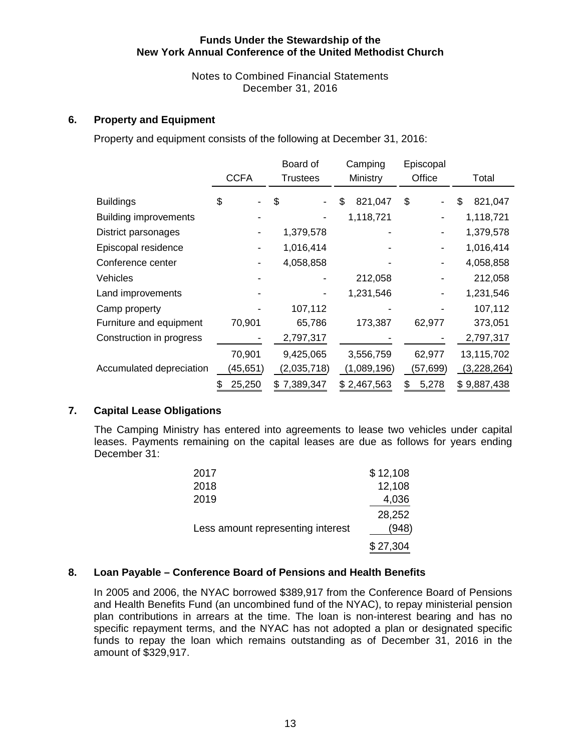Notes to Combined Financial Statements December 31, 2016

# **6. Property and Equipment**

Property and equipment consists of the following at December 31, 2016:

|                              |              | Board of        | Camping       | Episcopal  |               |
|------------------------------|--------------|-----------------|---------------|------------|---------------|
|                              | <b>CCFA</b>  | <b>Trustees</b> | Ministry      | Office     | Total         |
| <b>Buildings</b>             | \$           | \$              | 821,047<br>\$ | \$         | \$<br>821,047 |
| <b>Building improvements</b> |              |                 | 1,118,721     |            | 1,118,721     |
| District parsonages          |              | 1,379,578       |               |            | 1,379,578     |
| Episcopal residence          |              | 1,016,414       |               |            | 1,016,414     |
| Conference center            |              | 4,058,858       |               |            | 4,058,858     |
| <b>Vehicles</b>              |              |                 | 212,058       |            | 212,058       |
| Land improvements            |              |                 | 1,231,546     |            | 1,231,546     |
| Camp property                |              | 107,112         |               |            | 107,112       |
| Furniture and equipment      | 70,901       | 65,786          | 173,387       | 62,977     | 373,051       |
| Construction in progress     |              | 2,797,317       |               |            | 2,797,317     |
|                              | 70,901       | 9,425,065       | 3,556,759     | 62,977     | 13,115,702    |
| Accumulated depreciation     | (45,651)     | (2,035,718)     | (1,089,196)   | (57,699)   | (3,228,264)   |
|                              | 25,250<br>\$ | \$7,389,347     | \$2,467,563   | 5,278<br>S | \$9,887,438   |

#### **7. Capital Lease Obligations**

The Camping Ministry has entered into agreements to lease two vehicles under capital leases. Payments remaining on the capital leases are due as follows for years ending December 31:

| 2017                              | \$12,108 |
|-----------------------------------|----------|
| 2018                              | 12,108   |
| 2019                              | 4,036    |
|                                   | 28,252   |
| Less amount representing interest | (948)    |
|                                   | \$27,304 |

#### **8. Loan Payable – Conference Board of Pensions and Health Benefits**

In 2005 and 2006, the NYAC borrowed \$389,917 from the Conference Board of Pensions and Health Benefits Fund (an uncombined fund of the NYAC), to repay ministerial pension plan contributions in arrears at the time. The loan is non-interest bearing and has no specific repayment terms, and the NYAC has not adopted a plan or designated specific funds to repay the loan which remains outstanding as of December 31, 2016 in the amount of \$329,917.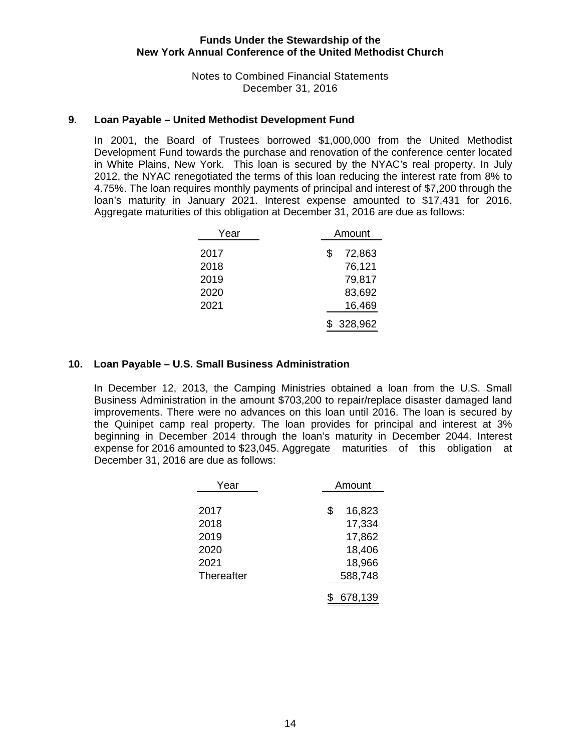Notes to Combined Financial Statements December 31, 2016

# **9. Loan Payable – United Methodist Development Fund**

In 2001, the Board of Trustees borrowed \$1,000,000 from the United Methodist Development Fund towards the purchase and renovation of the conference center located in White Plains, New York. This loan is secured by the NYAC's real property. In July 2012, the NYAC renegotiated the terms of this loan reducing the interest rate from 8% to 4.75%. The loan requires monthly payments of principal and interest of \$7,200 through the loan's maturity in January 2021. Interest expense amounted to \$17,431 for 2016. Aggregate maturities of this obligation at December 31, 2016 are due as follows:

| Year |   | Amount  |  |  |
|------|---|---------|--|--|
| 2017 | S | 72,863  |  |  |
| 2018 |   | 76,121  |  |  |
| 2019 |   | 79,817  |  |  |
| 2020 |   | 83,692  |  |  |
| 2021 |   | 16,469  |  |  |
|      |   | 328,962 |  |  |

# **10. Loan Payable – U.S. Small Business Administration**

 In December 12, 2013, the Camping Ministries obtained a loan from the U.S. Small Business Administration in the amount \$703,200 to repair/replace disaster damaged land improvements. There were no advances on this loan until 2016. The loan is secured by the Quinipet camp real property. The loan provides for principal and interest at 3% beginning in December 2014 through the loan's maturity in December 2044. Interest expense for 2016 amounted to \$23,045. Aggregate maturities of this obligation at December 31, 2016 are due as follows:

| Year       | Amount       |  |  |
|------------|--------------|--|--|
|            |              |  |  |
| 2017       | \$<br>16,823 |  |  |
| 2018       | 17,334       |  |  |
| 2019       | 17,862       |  |  |
| 2020       | 18,406       |  |  |
| 2021       | 18,966       |  |  |
| Thereafter | 588,748      |  |  |
|            | 678,139      |  |  |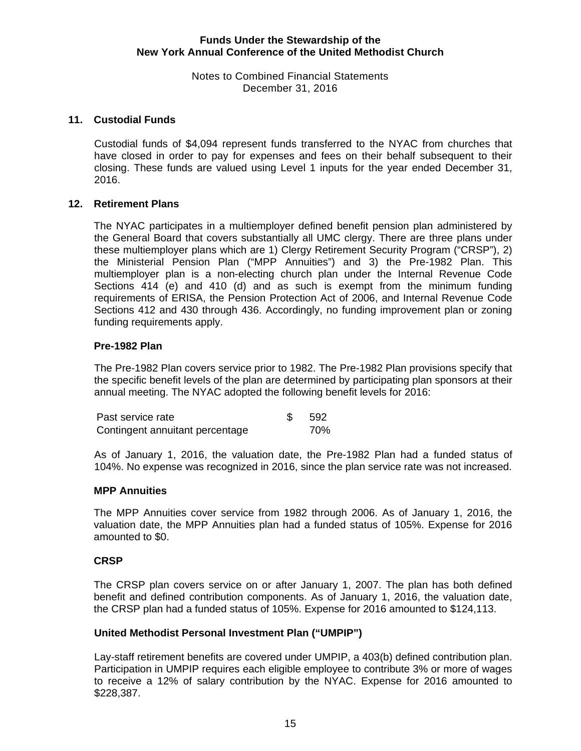Notes to Combined Financial Statements December 31, 2016

# **11. Custodial Funds**

Custodial funds of \$4,094 represent funds transferred to the NYAC from churches that have closed in order to pay for expenses and fees on their behalf subsequent to their closing. These funds are valued using Level 1 inputs for the year ended December 31, 2016.

#### **12. Retirement Plans**

The NYAC participates in a multiemployer defined benefit pension plan administered by the General Board that covers substantially all UMC clergy. There are three plans under these multiemployer plans which are 1) Clergy Retirement Security Program ("CRSP"), 2) the Ministerial Pension Plan ("MPP Annuities") and 3) the Pre-1982 Plan. This multiemployer plan is a non-electing church plan under the Internal Revenue Code Sections 414 (e) and 410 (d) and as such is exempt from the minimum funding requirements of ERISA, the Pension Protection Act of 2006, and Internal Revenue Code Sections 412 and 430 through 436. Accordingly, no funding improvement plan or zoning funding requirements apply.

# **Pre-1982 Plan**

The Pre-1982 Plan covers service prior to 1982. The Pre-1982 Plan provisions specify that the specific benefit levels of the plan are determined by participating plan sponsors at their annual meeting. The NYAC adopted the following benefit levels for 2016:

| Past service rate               | -592 |
|---------------------------------|------|
| Contingent annuitant percentage | 70%  |

As of January 1, 2016, the valuation date, the Pre-1982 Plan had a funded status of 104%. No expense was recognized in 2016, since the plan service rate was not increased.

#### **MPP Annuities**

The MPP Annuities cover service from 1982 through 2006. As of January 1, 2016, the valuation date, the MPP Annuities plan had a funded status of 105%. Expense for 2016 amounted to \$0.

#### **CRSP**

The CRSP plan covers service on or after January 1, 2007. The plan has both defined benefit and defined contribution components. As of January 1, 2016, the valuation date, the CRSP plan had a funded status of 105%. Expense for 2016 amounted to \$124,113.

#### **United Methodist Personal Investment Plan ("UMPIP")**

Lay-staff retirement benefits are covered under UMPIP, a 403(b) defined contribution plan. Participation in UMPIP requires each eligible employee to contribute 3% or more of wages to receive a 12% of salary contribution by the NYAC. Expense for 2016 amounted to \$228,387.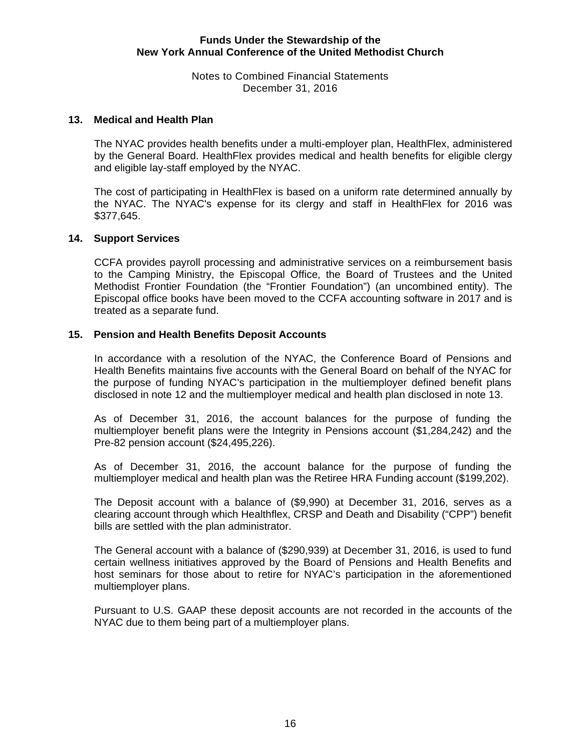Notes to Combined Financial Statements December 31, 2016

#### **13. Medical and Health Plan**

The NYAC provides health benefits under a multi-employer plan, HealthFlex, administered by the General Board. HealthFlex provides medical and health benefits for eligible clergy and eligible lay-staff employed by the NYAC.

The cost of participating in HealthFlex is based on a uniform rate determined annually by the NYAC. The NYAC's expense for its clergy and staff in HealthFlex for 2016 was \$377,645.

# **14. Support Services**

CCFA provides payroll processing and administrative services on a reimbursement basis to the Camping Ministry, the Episcopal Office, the Board of Trustees and the United Methodist Frontier Foundation (the "Frontier Foundation") (an uncombined entity). The Episcopal office books have been moved to the CCFA accounting software in 2017 and is treated as a separate fund.

# **15. Pension and Health Benefits Deposit Accounts**

In accordance with a resolution of the NYAC, the Conference Board of Pensions and Health Benefits maintains five accounts with the General Board on behalf of the NYAC for the purpose of funding NYAC's participation in the multiemployer defined benefit plans disclosed in note 12 and the multiemployer medical and health plan disclosed in note 13.

As of December 31, 2016, the account balances for the purpose of funding the multiemployer benefit plans were the Integrity in Pensions account (\$1,284,242) and the Pre-82 pension account (\$24,495,226).

As of December 31, 2016, the account balance for the purpose of funding the multiemployer medical and health plan was the Retiree HRA Funding account (\$199,202).

The Deposit account with a balance of (\$9,990) at December 31, 2016, serves as a clearing account through which Healthflex, CRSP and Death and Disability ("CPP") benefit bills are settled with the plan administrator.

The General account with a balance of (\$290,939) at December 31, 2016, is used to fund certain wellness initiatives approved by the Board of Pensions and Health Benefits and host seminars for those about to retire for NYAC's participation in the aforementioned multiemployer plans.

Pursuant to U.S. GAAP these deposit accounts are not recorded in the accounts of the NYAC due to them being part of a multiemployer plans.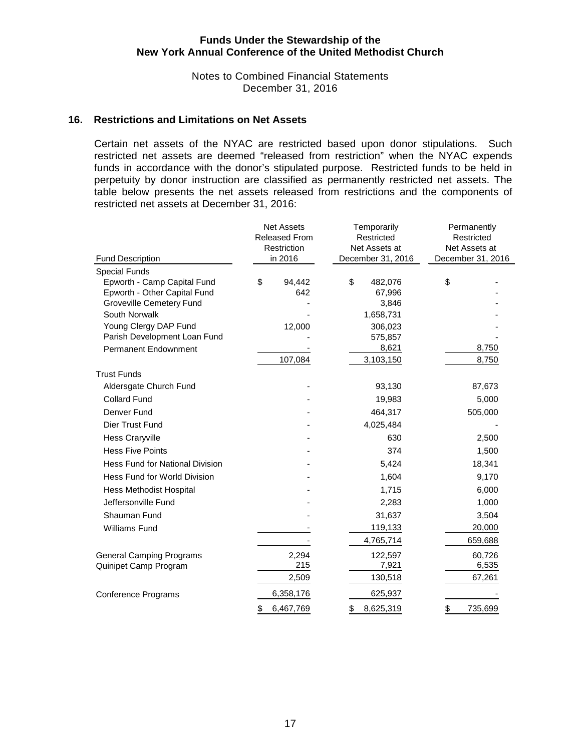Notes to Combined Financial Statements December 31, 2016

#### **16. Restrictions and Limitations on Net Assets**

Certain net assets of the NYAC are restricted based upon donor stipulations. Such restricted net assets are deemed "released from restriction" when the NYAC expends funds in accordance with the donor's stipulated purpose. Restricted funds to be held in perpetuity by donor instruction are classified as permanently restricted net assets. The table below presents the net assets released from restrictions and the components of restricted net assets at December 31, 2016:

|                                                             | <b>Net Assets</b><br><b>Released From</b><br>Restriction | Temporarily<br>Restricted<br>Net Assets at | Permanently<br>Restricted<br>Net Assets at |  |  |
|-------------------------------------------------------------|----------------------------------------------------------|--------------------------------------------|--------------------------------------------|--|--|
| <b>Fund Description</b>                                     | in 2016                                                  | December 31, 2016                          | December 31, 2016                          |  |  |
| <b>Special Funds</b>                                        |                                                          |                                            |                                            |  |  |
| Epworth - Camp Capital Fund<br>Epworth - Other Capital Fund | \$<br>94,442<br>642                                      | \$<br>482,076<br>67,996                    | \$                                         |  |  |
| <b>Groveville Cemetery Fund</b>                             |                                                          | 3,846                                      |                                            |  |  |
| South Norwalk                                               |                                                          | 1,658,731                                  |                                            |  |  |
| Young Clergy DAP Fund                                       | 12,000                                                   | 306,023                                    |                                            |  |  |
| Parish Development Loan Fund                                |                                                          | 575,857                                    |                                            |  |  |
| <b>Permanent Endownment</b>                                 |                                                          | 8,621                                      | 8,750                                      |  |  |
|                                                             | 107,084                                                  | 3,103,150                                  | 8,750                                      |  |  |
| <b>Trust Funds</b>                                          |                                                          |                                            |                                            |  |  |
| Aldersgate Church Fund                                      |                                                          | 93,130                                     | 87,673                                     |  |  |
| <b>Collard Fund</b>                                         |                                                          | 19,983                                     | 5,000                                      |  |  |
| Denver Fund                                                 |                                                          | 464,317                                    | 505,000                                    |  |  |
| Dier Trust Fund                                             |                                                          | 4,025,484                                  |                                            |  |  |
| <b>Hess Craryville</b>                                      |                                                          | 630                                        | 2,500                                      |  |  |
| <b>Hess Five Points</b>                                     |                                                          | 374                                        | 1,500                                      |  |  |
| <b>Hess Fund for National Division</b>                      |                                                          | 5,424                                      | 18,341                                     |  |  |
| Hess Fund for World Division                                |                                                          | 1,604                                      | 9,170                                      |  |  |
| <b>Hess Methodist Hospital</b>                              |                                                          | 1,715                                      | 6,000                                      |  |  |
| Jeffersonville Fund                                         |                                                          | 2,283                                      | 1,000                                      |  |  |
| Shauman Fund                                                |                                                          | 31,637                                     | 3,504                                      |  |  |
| Williams Fund                                               |                                                          | 119,133                                    | 20,000                                     |  |  |
|                                                             |                                                          | 4,765,714                                  | 659,688                                    |  |  |
| <b>General Camping Programs</b>                             | 2,294                                                    | 122,597                                    | 60,726                                     |  |  |
| Quinipet Camp Program                                       | 215                                                      | 7,921                                      | 6,535                                      |  |  |
|                                                             | 2,509                                                    | 130,518                                    | 67,261                                     |  |  |
| <b>Conference Programs</b>                                  | 6,358,176                                                | 625,937                                    |                                            |  |  |
|                                                             | 6,467,769<br>\$                                          | 8,625,319<br>\$                            | \$<br>735,699                              |  |  |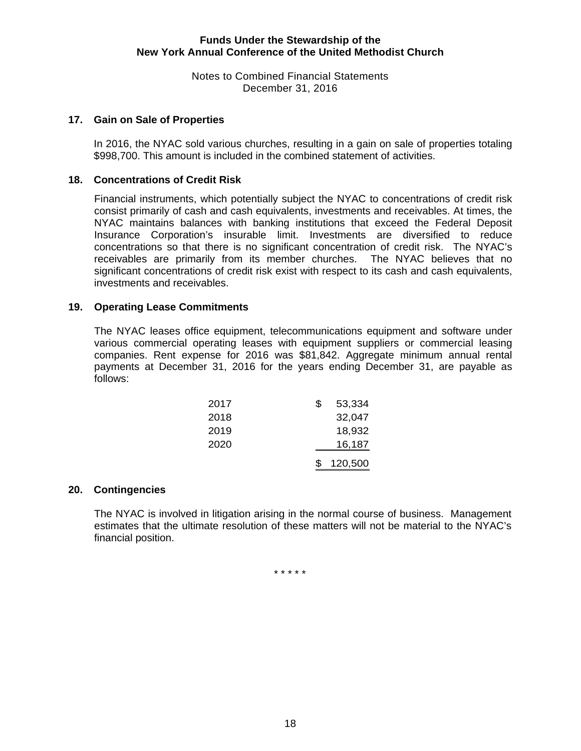Notes to Combined Financial Statements December 31, 2016

# **17. Gain on Sale of Properties**

In 2016, the NYAC sold various churches, resulting in a gain on sale of properties totaling \$998,700. This amount is included in the combined statement of activities.

# **18. Concentrations of Credit Risk**

Financial instruments, which potentially subject the NYAC to concentrations of credit risk consist primarily of cash and cash equivalents, investments and receivables. At times, the NYAC maintains balances with banking institutions that exceed the Federal Deposit Insurance Corporation's insurable limit. Investments are diversified to reduce concentrations so that there is no significant concentration of credit risk. The NYAC's receivables are primarily from its member churches. The NYAC believes that no significant concentrations of credit risk exist with respect to its cash and cash equivalents, investments and receivables.

# **19. Operating Lease Commitments**

The NYAC leases office equipment, telecommunications equipment and software under various commercial operating leases with equipment suppliers or commercial leasing companies. Rent expense for 2016 was \$81,842. Aggregate minimum annual rental payments at December 31, 2016 for the years ending December 31, are payable as follows:

| 2017 | S | 53,334  |
|------|---|---------|
| 2018 |   | 32,047  |
| 2019 |   | 18,932  |
| 2020 |   | 16,187  |
|      |   | 120,500 |

#### **20. Contingencies**

The NYAC is involved in litigation arising in the normal course of business. Management estimates that the ultimate resolution of these matters will not be material to the NYAC's financial position.

\* \* \* \* \*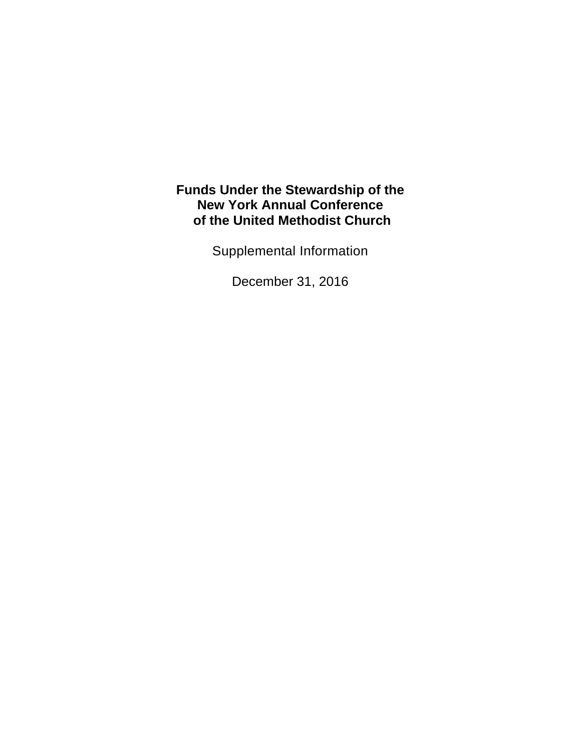Supplemental Information

December 31, 2016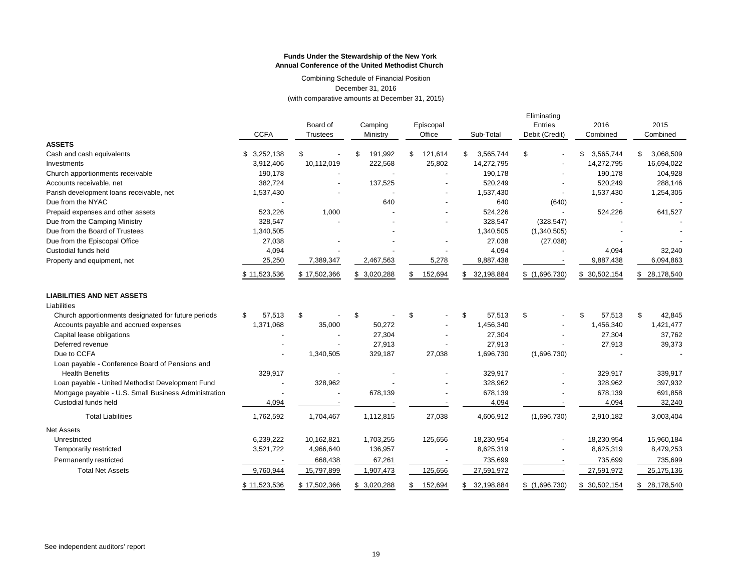Combining Schedule of Financial Position December 31, 2016 (with comparative amounts at December 31, 2015)

|                                                       |              |                 |               |                |                  | Eliminating    |                 |                 |  |
|-------------------------------------------------------|--------------|-----------------|---------------|----------------|------------------|----------------|-----------------|-----------------|--|
|                                                       |              | Board of        | Camping       | Episcopal      |                  | Entries        | 2016            | 2015            |  |
|                                                       | <b>CCFA</b>  | <b>Trustees</b> | Ministry      | Office         | Sub-Total        | Debit (Credit) | Combined        | Combined        |  |
| <b>ASSETS</b>                                         |              |                 |               |                |                  |                |                 |                 |  |
| Cash and cash equivalents                             | \$3,252,138  | \$              | 191,992<br>\$ | 121,614<br>\$  | 3,565,744<br>\$  | \$             | \$<br>3,565,744 | \$<br>3,068,509 |  |
| Investments                                           | 3,912,406    | 10,112,019      | 222,568       | 25,802         | 14,272,795       |                | 14,272,795      | 16,694,022      |  |
| Church apportionments receivable                      | 190,178      |                 |               |                | 190,178          |                | 190,178         | 104,928         |  |
| Accounts receivable, net                              | 382,724      |                 | 137,525       |                | 520,249          |                | 520,249         | 288,146         |  |
| Parish development loans receivable, net              | 1,537,430    |                 |               |                | 1,537,430        |                | 1,537,430       | 1,254,305       |  |
| Due from the NYAC                                     |              |                 | 640           |                | 640              | (640)          |                 |                 |  |
| Prepaid expenses and other assets                     | 523,226      | 1,000           |               |                | 524,226          |                | 524,226         | 641,527         |  |
| Due from the Camping Ministry                         | 328,547      |                 |               |                | 328,547          | (328, 547)     |                 |                 |  |
| Due from the Board of Trustees                        | 1,340,505    |                 |               |                | 1,340,505        | (1,340,505)    |                 |                 |  |
| Due from the Episcopal Office                         | 27,038       |                 |               |                | 27,038           | (27, 038)      |                 |                 |  |
| Custodial funds held                                  | 4,094        |                 |               |                | 4,094            |                | 4,094           | 32,240          |  |
| Property and equipment, net                           | 25,250       | 7,389,347       | 2,467,563     | 5,278          | 9,887,438        |                | 9,887,438       | 6,094,863       |  |
|                                                       | \$11,523,536 | \$17,502,366    | \$3,020,288   | 152,694<br>\$. | 32,198,884       | \$(1,696,730)  | \$30,502,154    | \$ 28,178,540   |  |
| <b>LIABILITIES AND NET ASSETS</b>                     |              |                 |               |                |                  |                |                 |                 |  |
| Liabilities                                           |              |                 |               |                |                  |                |                 |                 |  |
| Church apportionments designated for future periods   | \$<br>57,513 | \$              | \$            | \$             | 57,513<br>\$     | \$             | \$<br>57,513    | \$<br>42,845    |  |
| Accounts payable and accrued expenses                 | 1,371,068    | 35,000          | 50,272        |                | 1,456,340        |                | 1,456,340       | 1,421,477       |  |
| Capital lease obligations                             |              |                 | 27,304        |                | 27,304           |                | 27,304          | 37,762          |  |
| Deferred revenue                                      |              |                 | 27,913        |                | 27,913           |                | 27,913          | 39,373          |  |
| Due to CCFA                                           |              | 1,340,505       | 329,187       | 27,038         | 1,696,730        | (1,696,730)    |                 |                 |  |
| Loan payable - Conference Board of Pensions and       |              |                 |               |                |                  |                |                 |                 |  |
| <b>Health Benefits</b>                                | 329,917      |                 |               |                | 329,917          |                | 329,917         | 339,917         |  |
| Loan payable - United Methodist Development Fund      |              | 328,962         |               |                | 328,962          |                | 328,962         | 397,932         |  |
| Mortgage payable - U.S. Small Business Administration |              |                 | 678,139       |                | 678,139          |                | 678,139         | 691,858         |  |
| Custodial funds held                                  | 4,094        |                 |               |                | 4,094            |                | 4,094           | 32,240          |  |
| <b>Total Liabilities</b>                              | 1,762,592    | 1,704,467       | 1,112,815     | 27,038         | 4,606,912        | (1,696,730)    | 2,910,182       | 3,003,404       |  |
| <b>Net Assets</b>                                     |              |                 |               |                |                  |                |                 |                 |  |
| Unrestricted                                          | 6,239,222    | 10,162,821      | 1,703,255     | 125,656        | 18,230,954       |                | 18,230,954      | 15,960,184      |  |
| Temporarily restricted                                | 3,521,722    | 4,966,640       | 136,957       |                | 8,625,319        |                | 8,625,319       | 8,479,253       |  |
| Permanently restricted                                |              | 668,438         | 67,261        |                | 735,699          |                | 735,699         | 735,699         |  |
| <b>Total Net Assets</b>                               | 9,760,944    | 15,797,899      | 1,907,473     | 125,656        | 27,591,972       |                | 27,591,972      | 25, 175, 136    |  |
|                                                       | \$11,523,536 | \$17,502,366    | \$3,020,288   | \$<br>152,694  | 32,198,884<br>\$ | \$(1,696,730)  | \$ 30,502,154   | \$ 28,178,540   |  |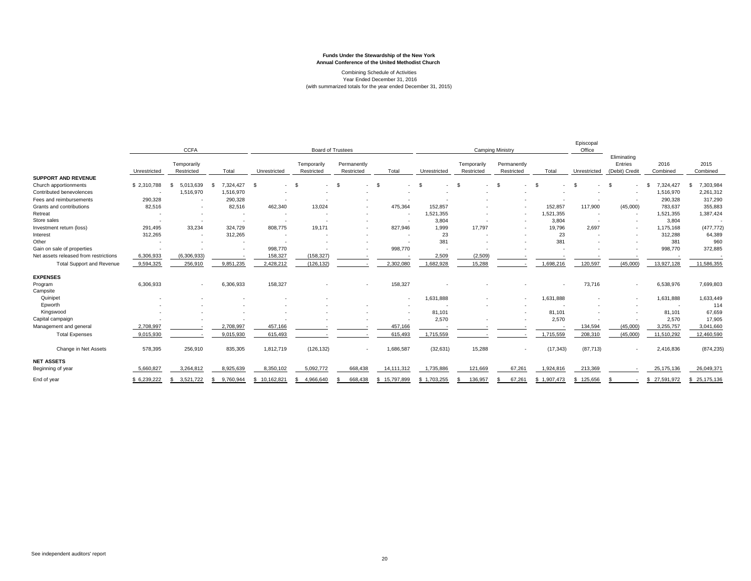#### Combining Schedule of Activities Year Ended December 31, 2016 (with summarized totals for the year ended December 31, 2015)

|                                       | <b>CCFA</b>  |                           | <b>Board of Trustees</b> |                  |                           | <b>Camping Ministry</b>   |                          |              |                           | Episcopal<br>Office       |             |                |                                          |                   |                   |
|---------------------------------------|--------------|---------------------------|--------------------------|------------------|---------------------------|---------------------------|--------------------------|--------------|---------------------------|---------------------------|-------------|----------------|------------------------------------------|-------------------|-------------------|
|                                       | Unrestricted | Temporarily<br>Restricted | Total                    | Unrestricted     | Temporarily<br>Restricted | Permanently<br>Restricted | Total                    | Unrestricted | Temporarily<br>Restricted | Permanently<br>Restricted | Total       | Unrestricted   | Eliminating<br>Entries<br>(Debit) Credit | 2016<br>Combined  | 2015<br>Combined  |
| <b>SUPPORT AND REVENUE</b>            |              |                           |                          |                  |                           |                           |                          |              |                           |                           |             |                |                                          |                   |                   |
| Church apportionments                 | \$2,310,788  | 5.013.639                 | 7.324.427<br>- 55        | - \$<br>٠        | - \$<br>$\sim$            | - \$<br><b>.</b>          | -S                       |              | ×.                        | - \$                      |             | - \$           | -S                                       | 7.324.427<br>- \$ | 7,303,984<br>S    |
| Contributed benevolences              |              | 1,516,970                 | 1,516,970                |                  |                           |                           |                          |              |                           |                           |             |                |                                          | 1,516,970         | 2,261,312         |
| Fees and reimbursements               | 290,328      | $\overline{\phantom{a}}$  | 290,328                  |                  |                           |                           |                          |              |                           |                           |             |                |                                          | 290,328           | 317,290           |
| Grants and contributions              | 82,516       | ٠                         | 82,516                   | 462,340          | 13,024                    |                           | 475,364                  | 152,857      |                           |                           | 152,857     | 117,900        | (45,000)                                 | 783,637           | 355,883           |
| Retreat                               |              | $\overline{\phantom{a}}$  | ٠                        | $\sim$           |                           | $\overline{\phantom{a}}$  |                          | 1,521,355    |                           | $\sim$                    | 1,521,355   |                | $\overline{\phantom{a}}$                 | 1,521,355         | 1,387,424         |
| Store sales                           |              | $\overline{\phantom{a}}$  |                          | ٠                |                           |                           |                          | 3,804        |                           |                           | 3,804       |                | $\overline{\phantom{a}}$                 | 3,804             |                   |
| Investment return (loss)              | 291,495      | 33.234                    | 324,729                  | 808,775          | 19.171                    |                           | 827,946                  | 1,999        | 17,797                    |                           | 19,796      | 2,697          | ٠                                        | 1,175,168         | (477, 772)        |
| Interest                              | 312,265      | $\overline{\phantom{a}}$  | 312,265                  |                  |                           |                           |                          | 23           |                           |                           | 23          |                |                                          | 312,288           | 64,389            |
| Other                                 |              |                           |                          |                  |                           |                           |                          | 381          |                           |                           | 381         |                |                                          | 381               | 960               |
| Gain on sale of properties            |              |                           |                          | 998,770          |                           |                           | 998,770                  |              |                           |                           |             |                |                                          | 998,770           | 372,885           |
| Net assets released from restrictions | 6,306,933    | (6,306,933)               |                          | 158,327          | (158, 327)                |                           |                          | 2,509        | (2,509)                   |                           |             |                |                                          |                   |                   |
| <b>Total Support and Revenue</b>      | 9,594,325    | 256,910                   | 9,851,235                | 2,428,212        | (126, 132)                |                           | 2,302,080                | 1,682,928    | 15,288                    |                           | 1,698,216   | 120,597        | (45,000)                                 | 13,927,128        | 11,586,355        |
| <b>EXPENSES</b>                       |              |                           |                          |                  |                           |                           |                          |              |                           |                           |             |                |                                          |                   |                   |
| Program                               | 6,306,933    | ٠                         | 6,306,933                | 158,327          |                           | $\overline{\phantom{a}}$  | 158,327                  |              |                           |                           |             | 73,716         | ٠                                        | 6,538,976         | 7,699,803         |
| Campsite                              |              |                           |                          |                  |                           |                           |                          |              |                           |                           |             |                |                                          |                   |                   |
| Quinipet                              |              |                           |                          |                  |                           |                           | $\overline{\phantom{a}}$ | 1,631,888    |                           |                           | 1,631,888   |                | $\overline{\phantom{a}}$                 | 1,631,888         | 1,633,449         |
| Epworth                               |              |                           |                          |                  |                           |                           |                          |              |                           |                           |             |                |                                          | $\sim$            | 114               |
| Kingswood                             |              |                           |                          |                  |                           |                           |                          | 81,101       |                           |                           | 81,101      |                |                                          | 81,101            | 67,659            |
| Capital campaign                      |              |                           |                          |                  |                           |                           |                          | 2,570        |                           |                           | 2,570       |                |                                          | 2,570             | 17,905            |
| Management and general                | 2,708,997    |                           | 2,708,997                | 457,166          |                           |                           | 457,166                  |              |                           |                           |             | 134,594        | (45,000)                                 | 3,255,757         | 3,041,660         |
| <b>Total Expenses</b>                 | 9,015,930    |                           | 9,015,930                | 615,493          |                           |                           | 615,493                  | 1,715,559    |                           |                           | 1,715,559   | 208,310        | (45,000)                                 | 11,510,292        | 12,460,590        |
| Change in Net Assets                  | 578,395      | 256,910                   | 835,305                  | 1,812,719        | (126, 132)                | $\sim$                    | 1,686,587                | (32, 631)    | 15,288                    | ٠                         | (17, 343)   | (87, 713)      | ٠                                        | 2,416,836         | (874, 235)        |
| <b>NET ASSETS</b>                     |              |                           |                          |                  |                           |                           |                          |              |                           |                           |             |                |                                          |                   |                   |
| Beginning of year                     | 5,660,827    | 3,264,812                 | 8,925,639                | 8,350,102        | 5,092,772                 | 668,438                   | 14, 111, 312             | 1,735,886    | 121,669                   | 67,261                    | 1,924,816   | 213,369        |                                          | 25, 175, 136      | 26,049,37         |
| End of year                           | \$ 6,239,222 | 3,521,722                 | 9,760,944<br>- 55        | 10,162,821<br>£. | 4,966,640                 | 668,438                   | 15,797,899<br>S          | \$1,703,255  | 136,957                   | 67,261                    | \$1,907,473 | 125,656<br>\$. |                                          | 27,591,972<br>\$. | 25,175,136<br>\$. |